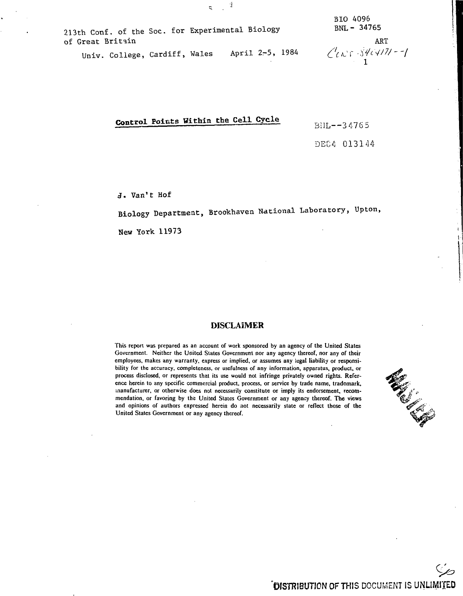| 213th Conf. of the Soc. for Experimental Biology |                 | BNL - 34765        |
|--------------------------------------------------|-----------------|--------------------|
| of Great Britain                                 |                 | ART                |
| Univ. College, Cardiff, Wales                    | April 2-5, 1984 | $C_N$ r-8404171--1 |

Í

**Control Points Within the** Cell Cycle

SIIL—3 476 5

BIO 4096

DEC4 013144

J. Van't Hof

 $o<sub>f</sub>$ 

Biology Department, Brookhaven National Laboratory, Upton,

New York 11973

## **DISCLAIMER**

This report was prepared as an account of work sponsored by an agency of the United States Government. Neither the United Slates Government nor any agency thereof, nor any of their employees, makes any warranty, express or implied, or assumes any legal liability or responsibility for the accuracy, completeness, or usefulness of any information, apparatus, product, or process disclosed, or represents that its use would not infringe privately owned rights. Reference herein to any specific commercial product, process, or service by trade name, trademark, manufacturer, or otherwise does not necessarily constitute or imply its endorsement, recommendation, or favoring by the United States Government or any agency thereof. The views and opinions of authors expressed herein do not necessarily state or reflect those of the United States Government or any agency thereof.

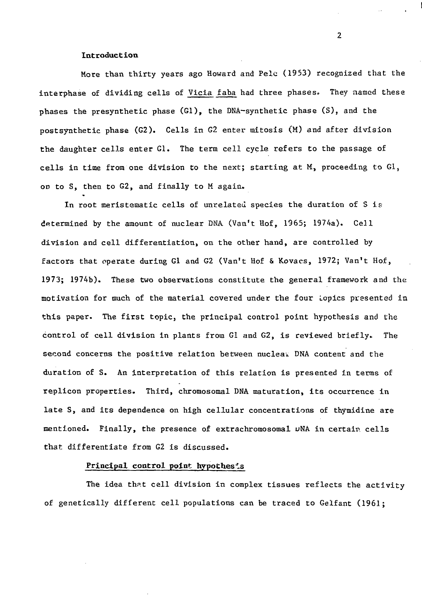#### Introduct**ion**

More than thirty years ago Howard and Pelc (1953) recognized that the interphase of dividing cells of Vicia faba had three phases. They named these phases the presynthetic phase (Gl), the DNA-synthetic phase (S), and the postsynthetic phase (G2). Cells in G2 enter mitosis (M) and after division the daughter cells enter Gl. The term cell cycle refers to the passage of cells in time from one division to the next; starting at M, proceeding to Gl, on to S, then to G2, and finally to M again.

In root meristematic cells of unrelated species the duration of S is determined by the amount of nuclear DNA (Van't Hof, 1965; 1974a). Cell division and cell differentiation, on the other hand, are controlled by factors that operate during Gl and G2 (Van't Hof & Kovacs, 1972; Van't Hof, 1973; 1974b). These two observations constitute the general framework and the motivation for much of the material covered under the four topics presented in this paper. The first topic, the principal control point hypothesis and the control of cell division in plants from Gl and G2, is reviewed briefly- The second concerns the positive relation between nucleai DNA content and the duration of S. An interpretation of this relation is presented in terms of replicon properties. Third, chromosomal DNA maturation, its occurrence in late S, and its dependence on high cellular concentrations of thymidine are mentioned. Finally, the presence of extrachromosomal uNA in certain cells that differentiate from G2 is discussed.

# Principal control point hypothes:s

The idea that cell division in complex tissues reflects the activity of genetically different cell populations can be traced to Gelfant (1961;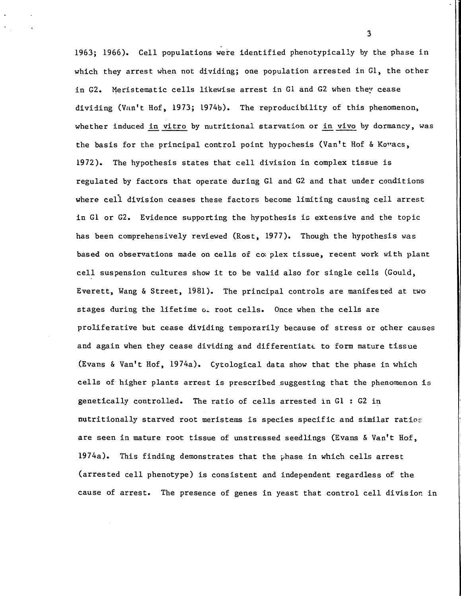1963; 1966). Cell populations were identified phenotypically by the phase in which they arrest when not dividing; one population arrested in Gl, the other in G2. Meristematic cells likewise arrest in Gl and G2 when they cease dividing (Van't Hof, 1973; 1974b). The reproducibility of this phenomenon, whether induced in vitro by nutritional starvation or in vivo by dormancy, was the basis for the principal control point hypochesis (Van't Hof & Kovacs, 1972). The hypothesis states that cell division in complex tissue is regulated by factors that operate during Gl and G2 and that under conditions where cell division ceases these factors become limiting causing cell arrest in Gl or G2. Evidence supporting the hypothesis is extensive and the topic has been comprehensively reviewed (Rost, 1977). Though the hypothesis was based on observations made on cells of co; plex tissue, recent work with plant cell suspension cultures show it to be valid also for single cells (Gould, Everett, Wang & Street, 1981). The principal controls are manifested at two stages during the lifetime of root cells. Once when the cells are proliferative but cease dividing temporarily because of stress or other causes and again when they cease dividing and differentiate, to form mature tissue (Evans & Van't Hof, 1974a). Cytological data show that the phase in which cells of higher plants arrest is prescribed suggesting that the phenomenon is genetically controlled. The ratio of cells arrested in Gl : G2 in nutritionally starved root meristems is species specific and similar ratios are seen in mature root tissue of unstressed seedlings (Evans & Van't Hof, 1974a). This finding demonstrates that the  $\beta$  phase in which cells arrest (arrested cell phenotype) is consistent and independent regardless of the cause of arrest. The presence of genes in yeast that control cell division in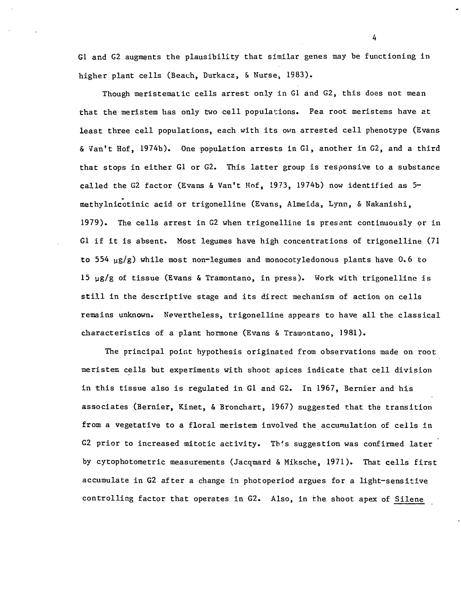Gl and G2 augments the plausibility that similar genes may be functioning in higher plant cells (Beach, Durkacz, & Nurse, 1983).

Though meristematic cells arrest only in Gl and G2, this does not mean that the meristem has only two cell populations. Pea root meristems have at least three cell populations, each with its own arrested cell phenotype (Evans & Van't Hof, 1974b). One population arrests in Gl, another in G2, and a third that stops in either Gl or G2. This latter group is responsive to a substance called the G2 factor (Evans & Van't Hof, 1973, 1974b) now identified as 5 methylnicotinic acid or trigonelline (Evans, Almeida, Lynn, & Nakanishi, 1979). The cells arrest in G2 when trigonelline is present continuously or in Gl if it is absent. Most legumes have high concentrations of trigonelline (71 to 554  $\mu$ g/g) while most non-legumes and monocotyledonous plants have 0.6 to 15  $\mu$ g/g of tissue (Evans & Tramontano, in press). Work with trigonelline is still in the descriptive stage and its direct mechanism of action on cells remains unknown. Nevertheless, trigonelline appears to have all the classical characteristics of a plant hormone (Evans & Tramontano, 1981).

The principal point hypothesis originated from observations made on root meristem cells but experiments with shoot apices indicate that cell division in this tissue also is regulated in Gl and G2. In 1967, Bernier and his associates (Bernier, Kinet, & Bronchart, 1967) suggested that the transition from a vegetative to a floral meristem involved the accumulation of cells in G2 prior to increased mitotic activity. This suggestion was confirmed later by cytophotometric measurements (Jacqmard & Miksche, 1971). That cells first accumulate in G2 after a change in photoperiod argues for a light-sensitive controlling factor that operates in G2. Also, in the shoot apex of Silene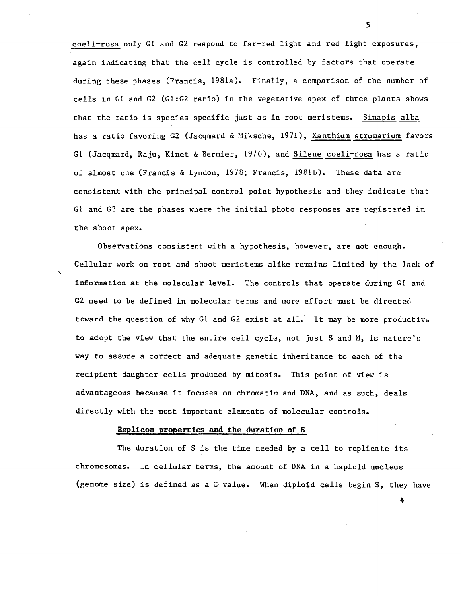coeli-rosa only Gl and G2 respond to far-red light and red light exposures, again indicating that the cell cycle is controlled by factors that operate during these phases (Francis, 1981a). Finally, a comparison of the number of cells in Gl and G2 (G1:G2 ratio) in the vegetative apex of three plants shows that the ratio is species specific just as in root meristems. Sinapis alba has a ratio favoring G2 (Jacqmard & Miksche, 1971), Xanthium strumarium favors Gl (Jacqmard, Raju, Kinet & Bernier, 1976), and Silene coeli-rosa has a ratio of almost one (Francis & Lyndon, 1978; Francis, 1981b). These data are consistent with the principal control point hypothesis and they indicate that Gl and G2 are the phases wnere the initial photo responses are registered in the shoot apex.

5

Observations consistent with a hypothesis, however, are not enough. Cellular work on root and shoot meristems alike remains limited by the lack of information at the molecular level. The controls that operate during Gl and G2 need to be defined in molecular terms and more effort must be directed toward the question of why Gl and G2 exist at all. It may be more productive to adopt the view that the entire cell cycle, not just S and M, is nature's way to assure a correct and adequate genetic inheritance to each of the recipient daughter cells produced by mitosis. This point of view is advantageous because it focuses on chromatin and DNA, and as such, deals directly with the most important elements of molecular controls.

#### **Replicon properties and the duration of S**

The duration of S is the time needed by a cell to replicate its chromosomes. In cellular terms, the amount of DNA in a haploid nucleus (genome size) is defined as a C-value. When diploid cells begin S, they have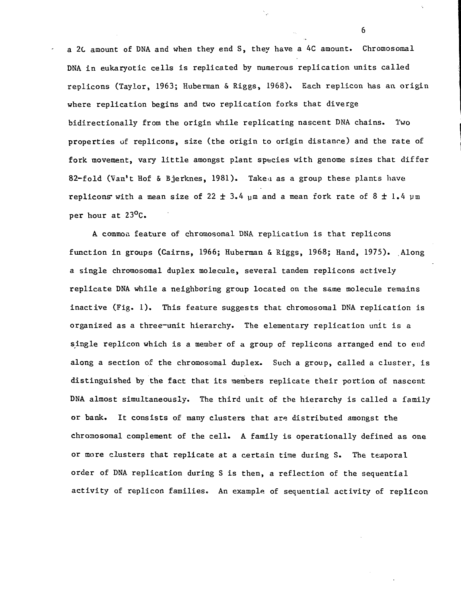a 2C amount of DNA and when they end S, they have a 4C amount. Chromosomal DNA in eukaryotic cells is replicated by numerous replication units called replicons (Taylor, 1963; Huberman & Riggs, 1968). Each replicon has an origin where replication begins and two replication forks that diverge bidirectionally from the origin while replicating nascent DNA chains. Two properties of replicons, size (the origin to origin distance) and the rate of fork movement, vary little amongst plant species with genome sizes that differ 82-fold (Van't Hof & Bjerknes, 1981). Taken as a group these plants have replicons with a mean size of 22  $\pm$  3.4 pm and a mean fork rate of 8  $\pm$  1.4 pm per hour at 23<sup>o</sup>C.

A common, feature of chromosomal DNA replication is that replicons function in groups (Cairns, 1966; Huberman & Riggs, 1968; Hand, 1975). Along a single chromosomal duplex molecule, several tandem replicons actively replicate DNA while a neighboring group located on the same molecule remains inactive (Fig. 1). This feature suggests that chromosomal DNA replication is organized as a three—unit hierarchy. The elementary replication unit is a single replicon which is a member of a group of replicons arranged end to end along a section of the chromosomal duplex. Such a group, called a cluster, is distinguished by the fact that its members replicate their portion of nascent DNA almost simultaneously. The third unit of the hierarchy is called a family or bank. It consists of many clusters that are distributed amongst the chromosomal complement of the cell. A family is operationally defined as one or more clusters that replicate at a certain time during S. The temporal order of DNA replication during S is then, a reflection of the sequential activity of replicon families. An example of sequential activity of replicon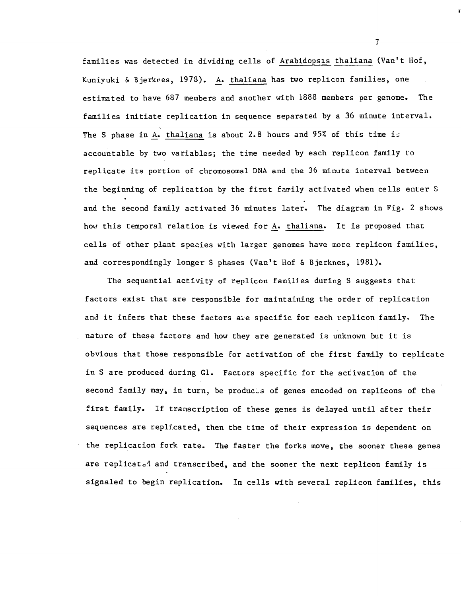families was detected in dividing cells of Arabidopsis thaliana (Van't Hof, Kuniyuki & Bjerkres, 1978). A. thaliana has two replicon families, one estimated to have 687 members and another with 1888 members per genome. The families initiate replication in sequence separated by a 36 minute interval. The S phase in A. thaliana is about 2.8 hours and 95% of this time is accountable by two variables; the time needed by each replicon family to replicate its portion of chromosomal DNA and the 36 minute interval between the beginning of replication by the first family activated when cells enter S and the second family activated 36 minutes later. The diagram in Fig. 2 shows how this temporal relation is viewed for A. thaliana. It is proposed that cells of other plant species with larger genomes have more replicon families, and correspondingly longer S phases (Van't Hof & Bjerknes, 1981).

The sequential activity of replicon families during S suggests that. factors exist that are responsible for maintaining the order of replication and it infers that these factors are specific for each replicon family. The nature of these factors and how they are generated is unknown but it is obvious that those responsible for activation of the first family to replicate in S are produced during Gl. Factors specific for the activation of the second family may, in turn, be produces of genes encoded on replicons of the first family. If transcription of these genes is delayed until after their sequences are replicated, then the time of their expression is dependent on the replicacion fork rate. The faster the forks move, the sooner these genes are replicated and transcribed, and the sooner the next replicon family is signaled to begin replication. In cells with several replicon families, this

 $\overline{7}$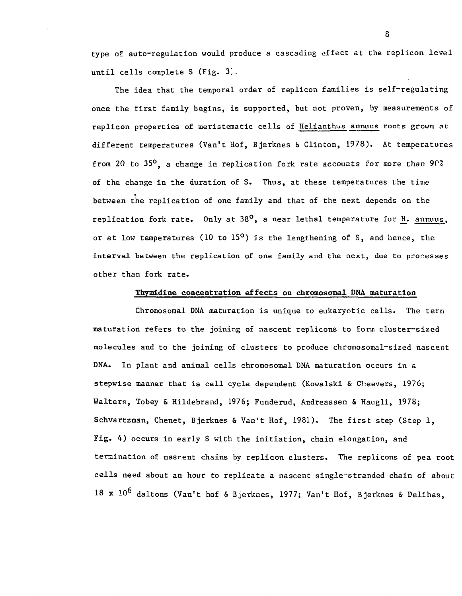type of auto-regulation would produce a cascading effect at the replicon level until cells complete S (Fig. 3).

The idea that the temporal order of replicon families is self-regulating once the first family begins, is supported, but not proven, by measurements of replicon properties of meristernatic cells of Helianthus annuus roots grown at different temperatures (Van't Hof, Bjerknes & Clinton, 1978). At temperatures from 20 to 35°, a change in replication fork rate accounts for more than 9C% of the change in the duration of S. Thus, at these temperatures the time between the replication of one family and that of the next depends on the replication fork rate. Only at  $38^{\circ}$ , a near lethal temperature for H. annuus, or at low temperatures (10 to  $15^{\circ}$ ) is the lengthening of S, and hence, the interval between the replication of one family and the next, due to processes other than fork rate.

## **Thymldine concentration effects on chromosomal DNA maturation**

Chromosomal DNA maturation is unique to eukaryotic cells. The term maturation refers to the joining of nascent replicons to form cluster-sized molecules and to the joining of clusters to produce chromosomal-sized nascent DNA. In plant and animal cells chromosomal DNA maturation occurs in a stepwise manner that is cell cycle dependent (Kowalski & Cheevers, 1976; Walters, Tobey & Hildebrand, 1976; Funderud, Andreassen & Haugli, 1978; Schvartzman, Chenet, Bjerknes & Van't Hof, 1981). The first step (Step 1, Fig. 4) occurs in early S with the initiation, chain elongation, and termination of nascent chains by replicon clusters. The replicons of pea root cells need about an hour to replicate a nascent single-stranded chain of about 18 x  $10^6$  daltons (Van't hof & Bjerknes, 1977; Van't Hof, Bjerknes & Delihas,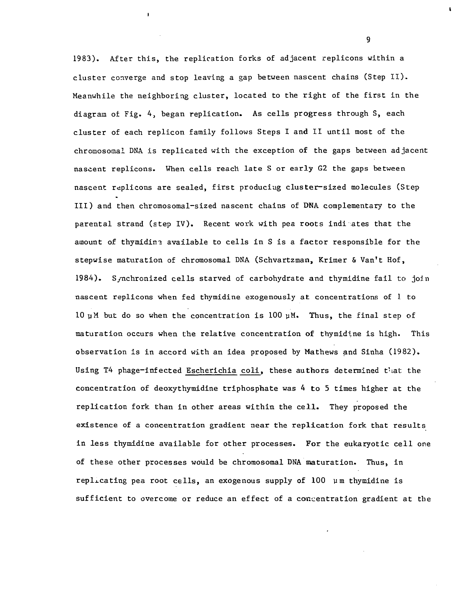1983). After this, the replication forks of adjacent replicons within a cluster converge and stop leaving a gap between nascent chains (Step II). Meanwhile the neighboring cluster, located to the right of the first in the diagram of Fig. 4, began replication. As cells progress through S, each cluster of each replicon family follows Steps I and II until most of the chromosomal DNA is replicated with the exception of the gaps between adjacent nascent replicons. When cells reach late S or early G2 the gaps between nascent replicons are sealed, first producing cluster-sized molecules (Step III) and then chromosomal-sized nascent chains of DNA complementary to the parental strand (step IV). Recent work with pea roots indi ates that the amount of thymidin^ available to cells in S is a factor responsible for the stepwise maturation of chromosomal DNA (Schvartzman, Krimer & Van't Hof, 1984). Synchronized cells starved of carbohydrate and thymidine fail to join nascent replicons when fed thymidine exogenously at concentrations of 1 to 10  $\mu$ M but do so when the concentration is 100  $\mu$ M. Thus, the final step of maturation occurs when the relative concentration of thymidine is high. This observation is in accord with an idea proposed by Mathews and Sinha (1982). Using T4 phage-infected Escherichia coli, these authors determined t^iat the concentration of deoxythymidine triphosphate was 4 to 5 times higher at the replication fork than in other areas within the cell. They proposed the existence of a concentration gradient near the replication fork that results in less thymidine available for other processes. For the eukaryotic cell one of these other processes would be chromosomal DNA maturation. Thus, in replicating pea root cells, an exogenous supply of  $100 \mu m$  thymidine is sufficient to overcome or reduce an effect of a concentration gradient at the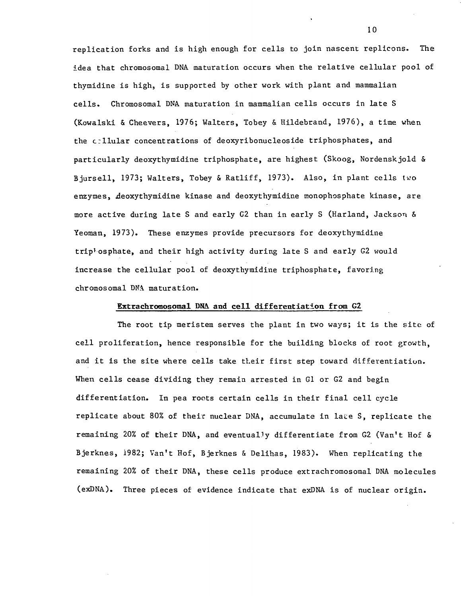replication forks and is high enough for cells to join nascent replicons. The idea that chromosomal DNA maturation occurs when the relative cellular pool of thymidine is high, is supported by other work with plant and mammalian cells. Chromosomal DNA maturation in mammalian cells occurs in late S (Kowalski & Cheevers, 1976; Walters, Tobey & Hildebrand, 1976), a time when the crllular concentrations of deoxyribonucleoside triphosphates, and particularly deoxythymidine triphosphate, are highest (Skoog, Nordenskjold & Bjursell, 1973; Walters, Tobey & Ratliff, 1973). Also, in plant cells two enzymes. deoxythymidine kinase and deoxythymidine monophosphate kinase, are more active during late S and early G2 than in early S (Harland, Jackson & Yeoman, 1973). These enzymes provide precursors for deoxythymidine trip\* osphate, and their high activity during late S and early G2 would increase the cellular pool of deoxythymidine triphosphate, favoring chromosomal DNA maturation.

## **Extrachromosomal DMA, and cell differentiation** from G2

The root tip meristem serves the plant in two ways; it is the site of cell proliferation, hence responsible for the building blocks of root growth, and it is the site where cells take their first step toward differentiation. When cells cease dividing they remain arrested in Gl or G2 and begin differentiation. In pea roots certain cells in their final cell cycle replicate about 80% of their nuclear DNA, accumulate in late S, replicate the remaining 20% of their DNA, and eventually differentiate from G2 (Van't Hof & Bjerknes, 1982; Van't Hof, Bjerknes & Dellhas, 1983). When replicating the remaining 20% of their DNA, these cells produce extrachromosomal DNA molecules (exDNA). Three pieces of evidence indicate that exDNA is of nuclear origin.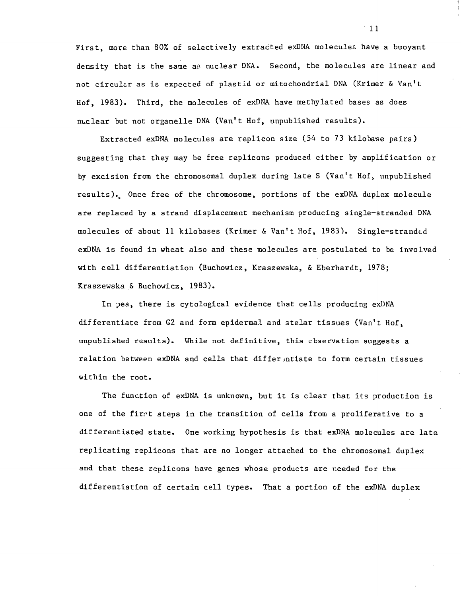First, more than 80% of selectively extracted exDNA molecules have a buoyant density that is the same as nuclear DNA. Second, the molecules are linear and not circular as is expected of plastid or mitochondrial DNA (Krimer & Van't Hof, 1983). Third, the molecules of exDNA have methylated bases as does nuclear but not organelle DNA (Van't Hof, unpublished results).

Extracted exDNA molecules are replicon size  $(54$  to 73 kilobase pairs) suggesting that they may be free replicons produced either by amplification or by excision from the chromosomal duplex during late S (Van't Hof, unpublished results).. Once free of the chromosome, portions of the exDNA duplex molecule are replaced by a strand displacement mechanism producing single-stranded DNA molecules of about 11 kilobases (Krimer & Van't Hof, 1983). Single-stranded exDNA is found in wheat also and these molecules are postulated to be involved with cell differentiation (Buchowicz, Kraszewska, & Eberhardt, 1978; Kraszewska & Buchowicz, 1983).

In pea, there is cytological evidence that cells producing exDNA differentiate from G2 and form epidermal and stelar tissues (Van't Hof, unpublished results). While not definitive, this observation suggests a relation between exDNA and cells that differ ntiate to form certain tissues within the root.

The function of exDNA is unknown, but it is clear that its production is one of the firrt steps in the transition of cells from a proliferative to a differentiated state. One working hypothesis is that exDNA molecules are late replicating replicons that are no longer attached to the chromosomal duplex and that these replicons have genes whose products are needed for the differentiation of certain cell types. That a portion of the exDNA duplex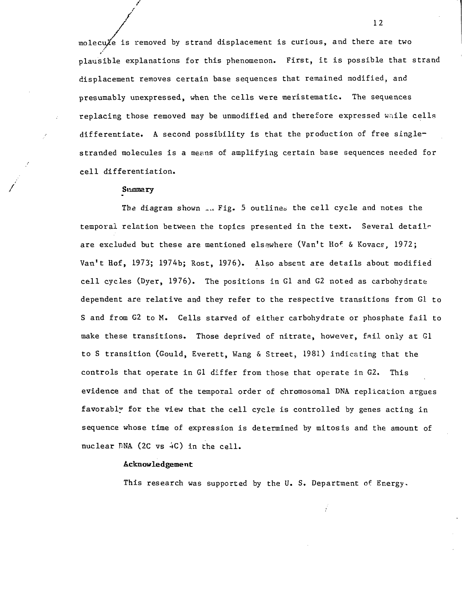molecu/e is removed by strand displacement is curious, and there are two plausible explanations for this phenomenon. First, it is possible that strand displacement removes certain base sequences that remained modified, and presumably unexpressed, when the cells were meristematic. The sequences replacing those removed may be unmodified and therefore expressed waile cells differentiate. A second possibility is that the production of free singlestranded molecules is a means of amplifying certain base sequences needed for cell differentiation.

#### Summary

The diagram shown -.. Fig. 5 outlines the cell cycle and notes the temporal relation between the topics presented in the text. Several details are excluded but these are mentioned elsewhere (Van't Hof & Kovacs, 1972; Van't Hof, 1973; 1974b; Rost, 1976). Also absent are details about modified cell cycles (Dyer, 1976). The positions in Gl and G2 noted as carbohydrate dependent are relative and they refer to the respective transitions from Gl to S and from G2 to M. Cells starved of either carbohydrate or phosphate fail to make these transitions. Those deprived of nitrate, however, fail only at Gl to S transition (Gould, Everett, Wang & Street, 1981) indicating that the controls that operate in Gl differ from those that operate in G2. This evidence and that of the temporal order of chromosomal DNA replication argues favorably for the view that the cell cycle is controlled by genes acting in sequence whose time of expression is determined by mitosis and the amount of nuclear DNA (2C vs 4C) in the cell.

## **Acknowledgement**

This research was supported by the U. S. Department of Energy.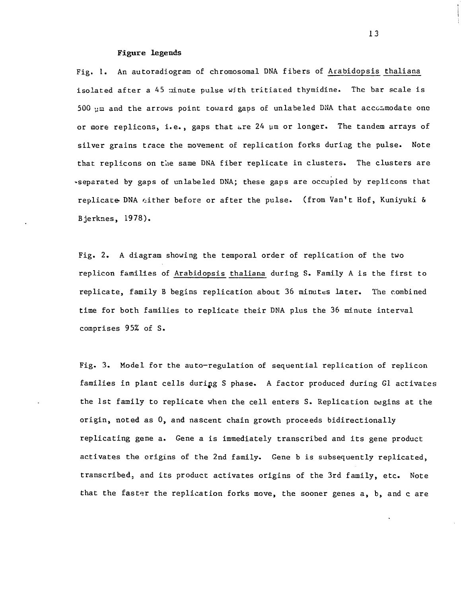#### **Figure legends**

Fig. **1.** An autoradiogram of chromosomal DNA fibers of Arabidopsis thaliana isolated after a 45 niinute pulse with tritiated thymidine. The bar scale is 500 ym and the arrows point toward gaps of unlabeled DNA that accommodate one or more replicons, i.e., gaps that are 24 um or longer. The tandem arrays of silver grains trace the movement of replication forks during the pulse. Note that replicons on the same DNA fiber replicate in clusters. The clusters are -separated by gaps of unlabeled DNA; these gaps are occupied by replicons that replicate DNA either before or after the pulse. (from Van't Hof, Kuniyuki & Bjerknes, 1978).

Fig. 2. A diagram showing the temporal order of replication of the two replicon families of Arabidopsis thaliana during S. Family A is the first to replicate, family B begins replication about 36 minutes later. The combined time for both families to replicate their DNA plus the 36 minute interval comprises 95% of S.

Fig. 3. Model for the auto-regulation of sequential replication of replicon families in plant cells during S phase. A factor produced during Gl activates the 1st family to replicate when the cell enters S. Replication oegins at the origin, noted as 0, and nascent chain growth proceeds bidirectionally replicating gene a. Gene a is immediately transcribed and its gene product activates the origins of the 2nd family. Gene b is subsequently replicated, transcribed, and its product activates origins of the 3rd family, etc. Note that the faster the replication forks move, the sooner genes a, b, and c are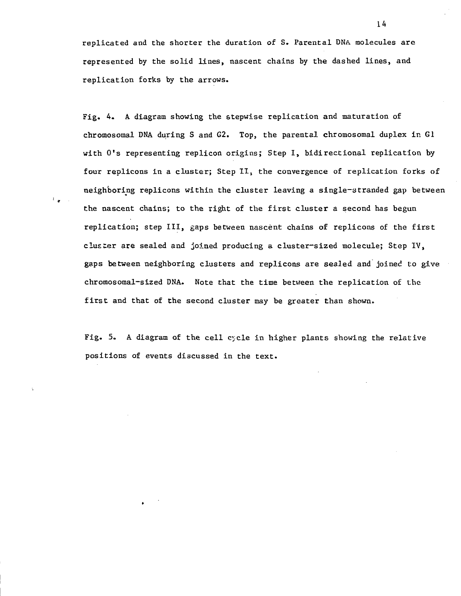replicated and the shorter the duration of S. Parental DNA. molecules are represented by the solid lines, nascent chains by the dashed lines, and replication forks by the arrows.

Fig. 4. A diagram showing the stepwise replication and maturation of chromosomal DNA during S and G2. Top, the parental chromosomal duplex in Gl with O's representing replicon origins; Step I, bidirectional replication by four replicons in a cluster; Step II, the convergence of replication forks of neighboring replicons within the cluster leaving a single-stranded gap between the nascent chains; to the right of the first cluster a second has begun replication; step III, gaps between nascent chains of replicons of the first cluster are sealed and joined producing a cluster-sized molecule; Step IV, gaps between neighboring clusters and replicons are sealed and joined to give chromosomal-sized DNA. Note that the time between the replication of the first and that of the second cluster may be greater than shown.

 $\mathbb{F}_{q}$ 

Fig. 5. A diagram of the cell cycle in higher plants showing the relative positions of events discussed in the text.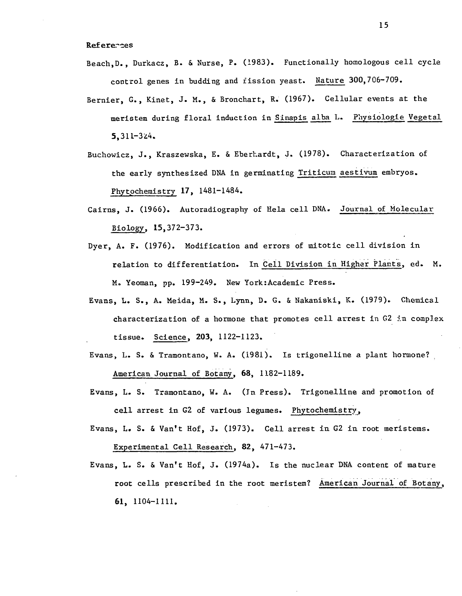#### Refererces

- Beach,D., Durkacz, B. & Nurse, P. (1983). Functionally homologous cell cycle control genes in budding and fission yeast. Nature 300,706-709.
- Bernier, G., Kinet, J. H., & Bronchart, R. (1967). Cellular events at the meristem during floral induction in Sinapis alba L. Physiologie Vegetal **5,311-324.**
- Buchowicz, J., Kraszewska, E. & Eberhardt, J. (1978). Characterization of the early synthesized DNA in germinating Triticum aestivum embryos. Phytpchemistry 17, 1481-1484.
- Cairns, J. (1966). Autoradiography of Hela cell DNA. Journal of Molecular Biology, 15,372-373.
- Dyer, A. F. (1976). Modification and errors of mitotic cell division in relation to differentiation. In Cell Division in Higher Plants, ed. M. Mo Yeoman, pp. 199-249. New York:Academic Press.
- Evans, L. S., A. Meida, M. S., Lynn, D. G. & Nakaniski, K. (1979). Chemical characterization of a hormone that promotes cell arrest in G2 in complex tissue. Science, **203,** 1122-1123.
- Evans, L. S. & Tramontano, W. A. (i981). Is trigonelline a plant hormone? American Journal of Botany, 68, 1182-1189.
- Evans, L. S. Tramontano, W. A. (In Press). Trigonelline and promotion of cell arrest in G2 of various legumes. Phytochemistry,
- Evans, L. S. & Van't Hof, J. (1973). Cell arrest in G2 in root meristems. Experimental Cell Research, 82, 471-473.
- Evans, L. S. & Van't Hof, J. (1974a). Is the nuclear DNA content of mature root cells prescribed in the root meristem? American Journal of Botany, 61, 1104-1111.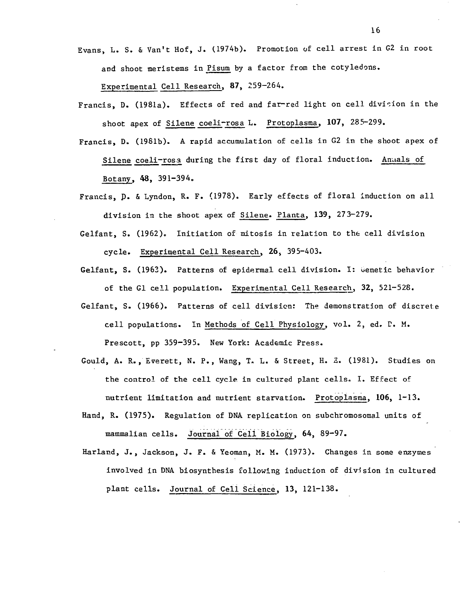Evans, L. S. & Van't Hof, J. (1974b). Promotion of cell arrest in G2 in root and shoot meristems in Pisum by a factor from the cotyledons.

Experimental Cell Research, 87, 259-264.

- Francis, D. (1981a). Effects of red and far-red light on cell division in the shoot apex of Silene coeli-rosa L. Protoplasma, **107,** 285-299.
- Francis, D. (1981b). A rapid accumulation of cells in G2 in the shoot apex of Silene coeli-rosa during the first day of floral induction. Anuals of Botany, 48, 391-394.
- Francis, D. & Lyndon, R. F. (1978). Early effects of floral induction on all division in the shoot apex of Silene. Planta, **139,** 273-279.
- Gelfant, S. (1962). Initiation of mitosis in relation to the cell division cycle. Experimental Cell Research, 26, 395-403.
- Gelfant, S. (1962). Patterns of epidermal cell division. I: Genetic behavior of the Gl cell population. Experimental Cell Research, 32, 521-528.
- Gelfant, S. (1966). Patterns of cell division: The demonstration of discrete cell populations. In Methods of Cell Physiology, vol. 2, ed. D. M. Prescott, pp 359-395. New York: Academic Press.
- Gould, A. R., Everett, N. P., Wang, T» L. & Street, H. 2. (1981). Studies on the control of the cell cycle in cultured plant cells. I. Effect of nutrient limitation and nutrient starvation. Protoplasma, 106, 1-13.
- Hand, R. (1975). Regulation of DNA replication on subchromosomal units of mammalian cells. Journal of Celi Biology, 64, 89-97.
- Harland, J., Jackson, J. F. & Yeoman, M. M. (1973). Changes in some enzymes involved in DNA biosynthesis following induction of division in cultured plant cells. Journal of Cell Science, 13, 121-138.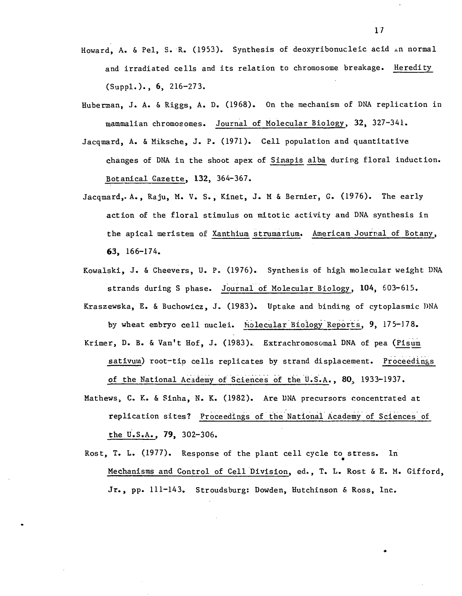- Howard, A. & Pel, S. R. (1953). Synthesis of deoxyribonucleic acid in normal and irradiated cells and its relation to chromosome breakage. Heredity (Suppl.)., 6, 216-273.
- Huberman, J. A. & Riggs, A. D. (1968). On the mechanism of DNA replication in mammalian chromosomes. Journal of Molecular Biology, **32,** 327-341.
- Jacqmard, A. & Miksche, J. P. (1971). Cell population and quantitative changes of DNA in the shoot apex of Sinapis alba during floral induction. Botanical Gazette, **132,** 364-367.
- Jacqmard,. A., Raju, M. V. S., Kinet, J. M & Bernier, G. (1976). The early action of the floral stimulus on mitotic activity and DNA synthesis in the apical meristem of Xanthium strumarium. American Journal of Botany, 63, 166-174.
- Kowalski, J. & Cheevers, U. P. (1976). Synthesis of high molecular weight DNA strands during S phase. Journal of Molecular Biology, **104,** 603-615.

Kraszewska, E. & Buchowicz, J. (1983). Uptake and binding of cytoplasmic UNA

by wheat embryo cell nuclei. Molecular Biology Reports, 9, 175-178. Krimer, D. B. & Van't Hof, J. (1983).. Extrachromosomal DNA of pea (Pisum sativum) root-tip cells replicates by strand displacement. Proceedings

of the National Academy of Sciences of the U.S.A., 80, 1933-1937.

- Mathews, C. K. & Sinha, N. K. (1982). Are DNA precursors concentrated at replication sites? Proceedings of the National Academy of Sciences of the U.S.A., 79, 302-306.
- Rost, T. L. (1977). Response of the plant cell cycle to stress. In Mechanisms and Control of Cell Division, ed., T. L. Rost & E. M. Gifford, Jr. , pp. 111-143. Stroudsburg: Dowden, Hutchinson *&* Ross, Inc.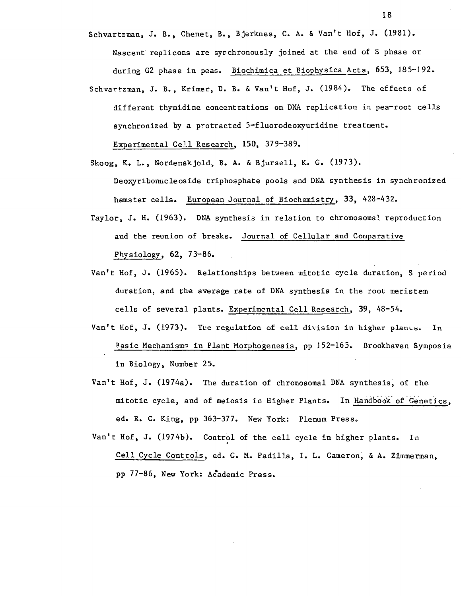Schvartzman, J. B., Chenet, B., Bjerknes, C. A. & Van't Hof, J. (1981). Nascent replicons are synchronously joined at the end of S phase or during G2 phase in peas. Biochimica et Biophysica Acta, 653, 185-192. Schvartzman, J. B., Krimer, D. B. & Van't Hof, J. (1984). The effects of different thymidine concentrations on DNA replication in pea-root cells

synchronized by a protracted 5-fluorodeoxyuridine treatment.

Experimental Cell Research, 150, 379-389.

Skoog, K. L., Nordenskjold, B. A. & Bjursell, K. G. (1973).

Deoxyribonucleoside triphosphate pools and DNA synthesis in synchronized hamster cells. European Journal of Biochemistry, 33, 428-432.

- Taylor, J. H. (1963). DNA synthesis in relation to chromosomal reproduction and the reunion of breaks. Journal of Cellular and Comparative Physiology, 62, 73-86.
- Van't Hof, J. (1965). Relationships between mitotic cycle duration, S period duration, and the average rate of DNA synthesis in the root meristem cells of several plants. Experimental Cell Research, 39, 48-54.
- Van't Hof, J. (1973). The regulation of cell division in higher plants. In ?asic Mechanisms in Plant Morphogenesis, pp 152-165. Brookhaven Symposia in Biology, Number 25.
- Van't Hof, J. (1974a). The duration of chromosomal DNA synthesis, of the mitotic cycle, and of meiosis in Higher Plants. In Handbook of Genetics, ed. R. C. King, pp 363-377. New York: Plenum Press.

Van't Hof, J. (1974b). Control of the cell cycle in higher plants. In

Cell Cycle Controls, ed. G. M. Padilla, I. L. Cameron, & A. Zimmerman, pp 77-86, New York: Academic Press.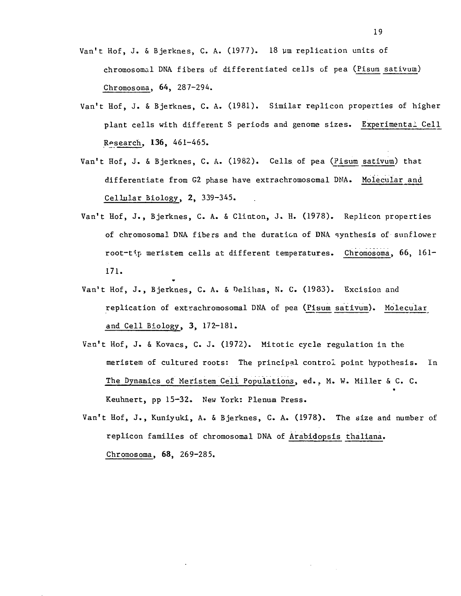- Van't Hof, J. & Bjerknes, C. A. (1977). 18 ym replication units of chromosomal DNA fibers of differentiated cells of pea (Pisum sativum) Chromosoma, 64, 287-294.
- Van't Hof, J. & Bjerknes, C. A. (1981). Similar replicon properties of higher plant cells with different S periods and genome sizes. Experimental Cell Research, **136,** 461-465.
- Van't Hof, J. & Bjerknes, C. A. (1982). Cells of pea (Pisum sativum) that differentiate from G2 phase have extrachromoscmal DNA. Molecular and Cellular Biology, 2, 339-345.
- Van't Hof, J., Bjerknes, C. A. & Clinton, J. H. (1978). Replicon properties of chromosomal DNA fibers and the duration of DNA synthesis of sunflower root—f.p meristem cells at different temperatures. Chromosoma, 66, 161- 171.
- Van't Hof, J., Bjerknes, C. A. & Delihas, N. C. (1933). Excision and replication of extrachromosomal DNA of pea (Pisum sativum). Molecular and Cell Biology, 3, 172-181.
- Van't Hof, J. & Kovacs, C. J. (1972). Mitotic cycle regulation in the meristem of cultured roots: The principal control point hypothesis. In The Dynamics of Meristem Celi Populations, ed.. M. W. Miller & C. C. Keuhnert, pp 15-32, New York: Plenum Press.
- Van't Hof, J. , Kuniyuki, A. & Bjerknes, C. A. (1978). The size and number of replicon families of chromosomal DNA of Arabidopsis thaliana. Chromosoma, 68, 269-285.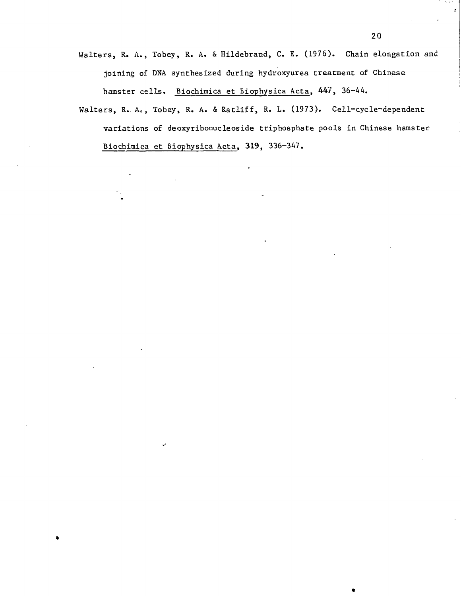Walters, R. A., Tobey, R. A. & Hildebrand, C. E. (1976). Chain elongation and joining of DNA synthesized during hydroxyurea treatment of Chinese hamster cells. Biochimica et Biophysica Acta, 447, 36-44.

Walters, R. A., Tobey, R. A. & Ratliff, R. L. (1973). Cell-cycle-dependent variations of deoxyribonucleoside triphosphate pools in Chinese hamster Biochimica at Biophysica Acta, **319,** 336-347.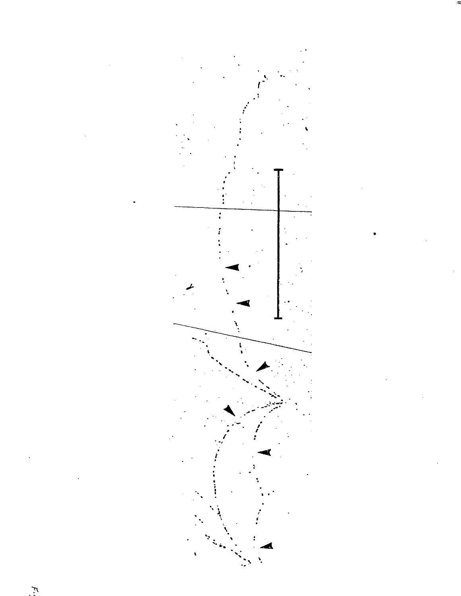

بر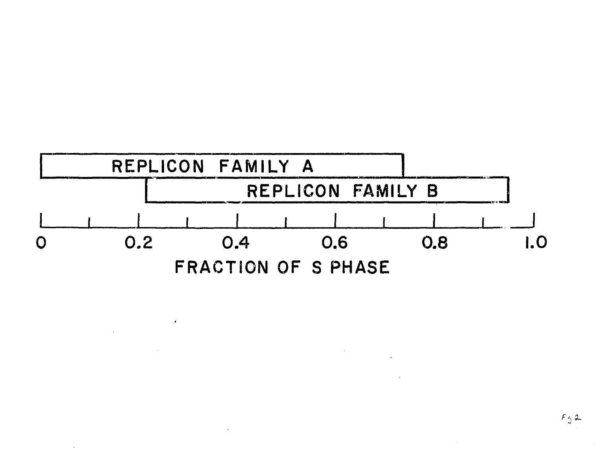

 $\label{eq:2.1} \frac{1}{\sqrt{2}}\left(\frac{1}{\sqrt{2}}\right)^{2} \left(\frac{1}{\sqrt{2}}\right)^{2} \left(\frac{1}{\sqrt{2}}\right)^{2} \left(\frac{1}{\sqrt{2}}\right)^{2} \left(\frac{1}{\sqrt{2}}\right)^{2} \left(\frac{1}{\sqrt{2}}\right)^{2} \left(\frac{1}{\sqrt{2}}\right)^{2} \left(\frac{1}{\sqrt{2}}\right)^{2} \left(\frac{1}{\sqrt{2}}\right)^{2} \left(\frac{1}{\sqrt{2}}\right)^{2} \left(\frac{1}{\sqrt{2}}\right)^{2} \left(\$ 

 $\bullet$ 

 $\sim$ 

 $\sim 10^7$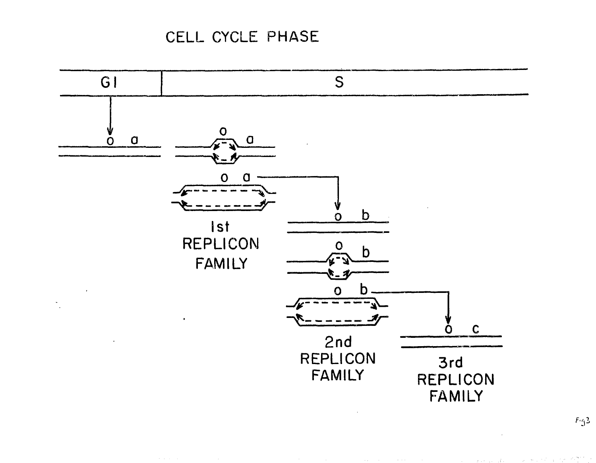# CELL CYCLE PHASE



 $F/3$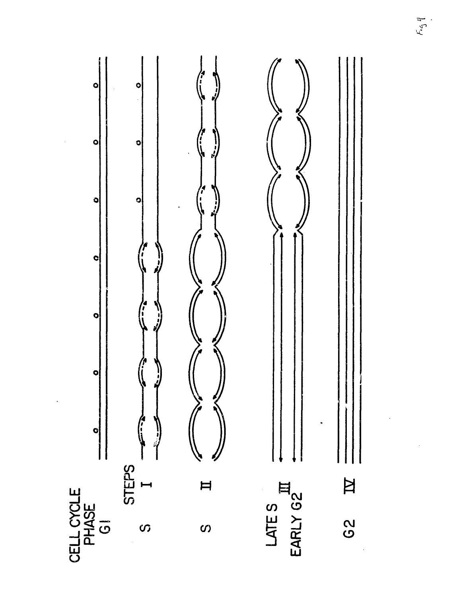

 $\kappa_{\mathfrak{s}}$ ł